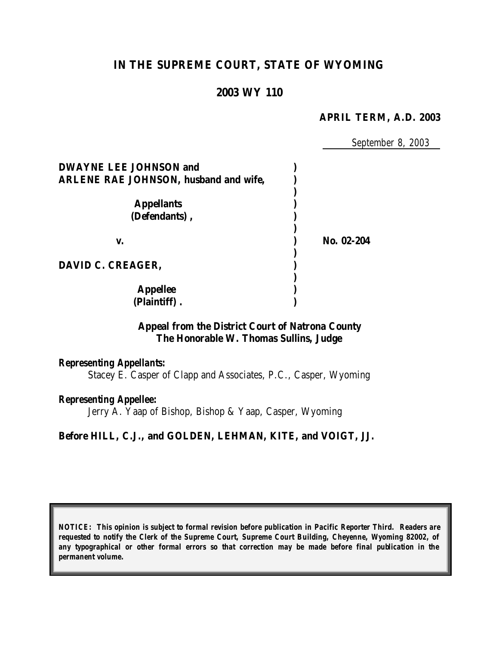# **IN THE SUPREME COURT, STATE OF WYOMING**

### **2003 WY 110**

#### **APRIL TERM, A.D. 2003**

*September 8, 2003*

| <b>DWAYNE LEE JOHNSON and</b>                |            |
|----------------------------------------------|------------|
| <b>ARLENE RAE JOHNSON, husband and wife,</b> |            |
|                                              |            |
| <b>Appellants</b>                            |            |
| (Defendants),                                |            |
|                                              |            |
| v.                                           | No. 02-204 |
|                                              |            |
| DAVID C. CREAGER,                            |            |
|                                              |            |
| <b>Appellee</b>                              |            |
| (Plaintiff).                                 |            |

### **Appeal from the District Court of Natrona County The Honorable W. Thomas Sullins, Judge**

#### *Representing Appellants:*

Stacey E. Casper of Clapp and Associates, P.C., Casper, Wyoming

#### *Representing Appellee:*

Jerry A. Yaap of Bishop, Bishop & Yaap, Casper, Wyoming

#### **Before HILL, C.J., and GOLDEN, LEHMAN, KITE, and VOIGT, JJ.**

*NOTICE: This opinion is subject to formal revision before publication in Pacific Reporter Third. Readers are requested to notify the Clerk of the Supreme Court, Supreme Court Building, Cheyenne, Wyoming 82002, of any typographical or other formal errors so that correction may be made before final publication in the permanent volume.*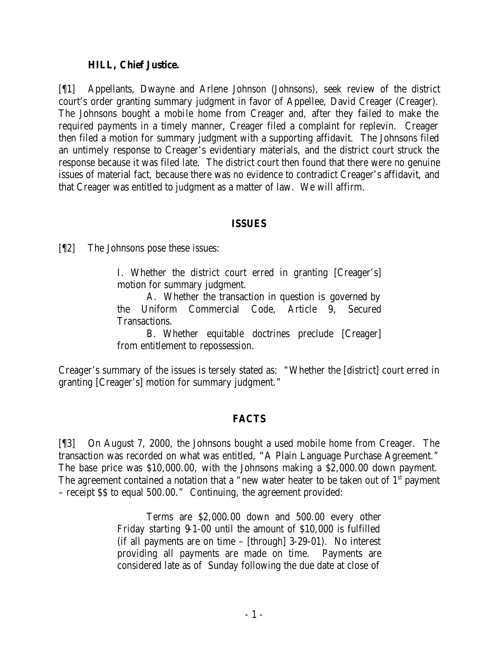### **HILL, Chief Justice.**

[¶1] Appellants, Dwayne and Arlene Johnson (Johnsons), seek review of the district court's order granting summary judgment in favor of Appellee, David Creager (Creager). The Johnsons bought a mobile home from Creager and, after they failed to make the required payments in a timely manner, Creager filed a complaint for replevin. Creager then filed a motion for summary judgment with a supporting affidavit. The Johnsons filed an untimely response to Creager's evidentiary materials, and the district court struck the response because it was filed late. The district court then found that there were no genuine issues of material fact, because there was no evidence to contradict Creager's affidavit, and that Creager was entitled to judgment as a matter of law. We will affirm.

### **ISSUES**

[¶2] The Johnsons pose these issues:

I. Whether the district court erred in granting [Creager's] motion for summary judgment.

A. Whether the transaction in question is governed by the Uniform Commercial Code, Article 9, Secured Transactions.

B. Whether equitable doctrines preclude [Creager] from entitlement to repossession.

Creager's summary of the issues is tersely stated as: "Whether the [district] court erred in granting [Creager's] motion for summary judgment."

### **FACTS**

[¶3] On August 7, 2000, the Johnsons bought a used mobile home from Creager. The transaction was recorded on what was entitled, "A Plain Language Purchase Agreement." The base price was \$10,000.00, with the Johnsons making a \$2,000.00 down payment. The agreement contained a notation that a "new water heater to be taken out of  $1<sup>st</sup>$  payment – receipt \$\$ to equal 500.00." Continuing, the agreement provided:

> Terms are \$2,000.00 down and 500.00 every other Friday starting 9-1-00 until the amount of \$10,000 is fulfilled (if all payments are on time – [through] 3-29-01). No interest providing all payments are made on time. Payments are considered late as of Sunday following the due date at close of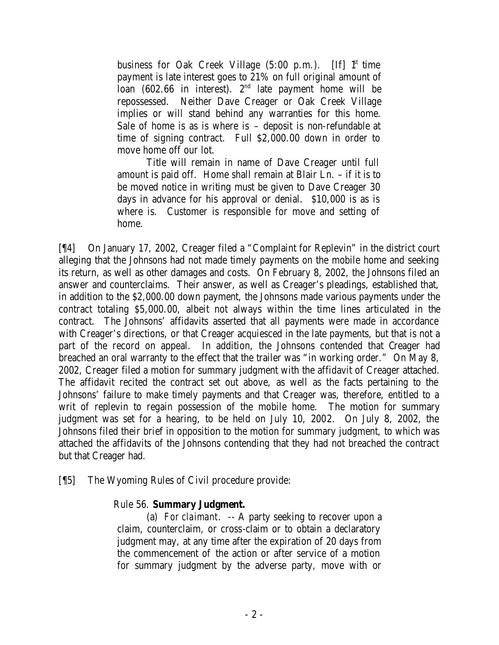business for Oak Creek Village  $(5:00 \text{ p.m.})$ . [If]  $f^{\text{t}}$  time payment is late interest goes to 21% on full original amount of loan (602.66 in interest).  $2<sup>nd</sup>$  late payment home will be repossessed. Neither Dave Creager or Oak Creek Village implies or will stand behind any warranties for this home. Sale of home is as is where is – deposit is non-refundable at time of signing contract. Full \$2,000.00 down in order to move home off our lot.

Title will remain in name of Dave Creager until full amount is paid off. Home shall remain at Blair Ln. – if it is to be moved notice in writing must be given to Dave Creager 30 days in advance for his approval or denial. \$10,000 is as is where is. Customer is responsible for move and setting of home.

[¶4] On January 17, 2002, Creager filed a "Complaint for Replevin" in the district court alleging that the Johnsons had not made timely payments on the mobile home and seeking its return, as well as other damages and costs. On February 8, 2002, the Johnsons filed an answer and counterclaims. Their answer, as well as Creager's pleadings, established that, in addition to the \$2,000.00 down payment, the Johnsons made various payments under the contract totaling \$5,000.00, albeit not always within the time lines articulated in the contract. The Johnsons' affidavits asserted that all payments were made in accordance with Creager's directions, or that Creager acquiesced in the late payments, but that is not a part of the record on appeal. In addition, the Johnsons contended that Creager had breached an oral warranty to the effect that the trailer was "in working order." On May 8, 2002, Creager filed a motion for summary judgment with the affidavit of Creager attached. The affidavit recited the contract set out above, as well as the facts pertaining to the Johnsons' failure to make timely payments and that Creager was, therefore, entitled to a writ of replevin to regain possession of the mobile home. The motion for summary judgment was set for a hearing, to be held on July 10, 2002. On July 8, 2002, the Johnsons filed their brief in opposition to the motion for summary judgment, to which was attached the affidavits of the Johnsons contending that they had not breached the contract but that Creager had.

[¶5] The Wyoming Rules of Civil procedure provide:

## Rule 56. **Summary Judgment.**

(a) *For claimant*. -- A party seeking to recover upon a claim, counterclaim, or cross-claim or to obtain a declaratory judgment may, at any time after the expiration of 20 days from the commencement of the action or after service of a motion for summary judgment by the adverse party, move with or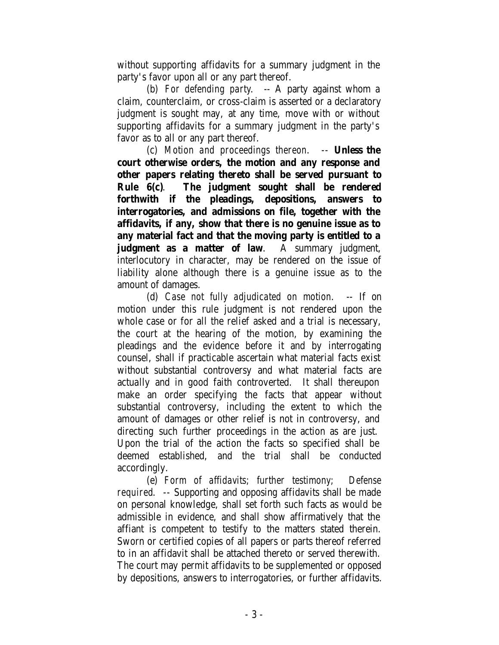without supporting affidavits for a summary judgment in the party's favor upon all or any part thereof.

(b) *For defending party*. -- A party against whom a claim, counterclaim, or cross-claim is asserted or a declaratory judgment is sought may, at any time, move with or without supporting affidavits for a summary judgment in the party's favor as to all or any part thereof.

(c) *Motion and proceedings thereon*. -- **Unless the court otherwise orders, the motion and any response and other papers relating thereto shall be served pursuant to Rule 6(c)**. **The judgment sought shall be rendered forthwith if the pleadings, depositions, answers to interrogatories, and admissions on file, together with the affidavits, if any, show that there is no genuine issue as to any material fact and that the moving party is entitled to a judgment as a matter of law**. A summary judgment, interlocutory in character, may be rendered on the issue of liability alone although there is a genuine issue as to the amount of damages.

(d) *Case not fully adjudicated on motion*. -- If on motion under this rule judgment is not rendered upon the whole case or for all the relief asked and a trial is necessary, the court at the hearing of the motion, by examining the pleadings and the evidence before it and by interrogating counsel, shall if practicable ascertain what material facts exist without substantial controversy and what material facts are actually and in good faith controverted. It shall thereupon make an order specifying the facts that appear without substantial controversy, including the extent to which the amount of damages or other relief is not in controversy, and directing such further proceedings in the action as are just. Upon the trial of the action the facts so specified shall be deemed established, and the trial shall be conducted accordingly.

(e) *Form of affidavits; further testimony; Defense required*. -- Supporting and opposing affidavits shall be made on personal knowledge, shall set forth such facts as would be admissible in evidence, and shall show affirmatively that the affiant is competent to testify to the matters stated therein. Sworn or certified copies of all papers or parts thereof referred to in an affidavit shall be attached thereto or served therewith. The court may permit affidavits to be supplemented or opposed by depositions, answers to interrogatories, or further affidavits.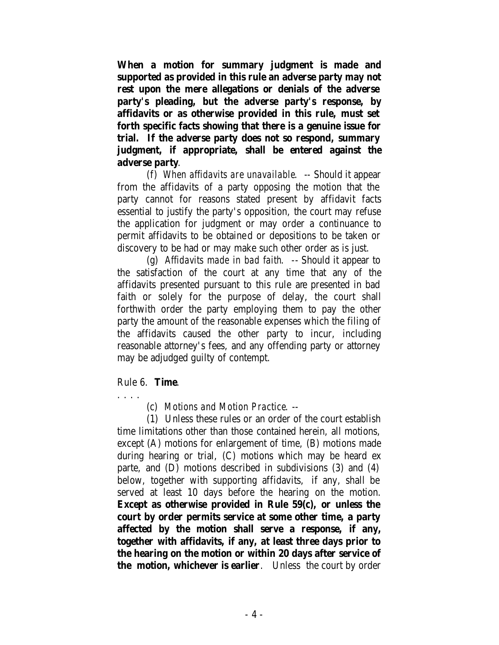**When a motion for summary judgment is made and supported as provided in this rule an adverse party may not rest upon the mere allegations or denials of the adverse party's pleading, but the adverse party's response, by affidavits or as otherwise provided in this rule, must set forth specific facts showing that there is a genuine issue for trial. If the adverse party does not so respond, summary judgment, if appropriate, shall be entered against the adverse party**.

(f) *When affidavits are unavailable*. -- Should it appear from the affidavits of a party opposing the motion that the party cannot for reasons stated present by affidavit facts essential to justify the party's opposition, the court may refuse the application for judgment or may order a continuance to permit affidavits to be obtained or depositions to be taken or discovery to be had or may make such other order as is just.

(g) *Affidavits made in bad faith*. -- Should it appear to the satisfaction of the court at any time that any of the affidavits presented pursuant to this rule are presented in bad faith or solely for the purpose of delay, the court shall forthwith order the party employing them to pay the other party the amount of the reasonable expenses which the filing of the affidavits caused the other party to incur, including reasonable attorney's fees, and any offending party or attorney may be adjudged guilty of contempt.

Rule 6. **Time**.

. . . .

(c) *Motions and Motion Practice*. --

(1) Unless these rules or an order of the court establish time limitations other than those contained herein, all motions, except (A) motions for enlargement of time, (B) motions made during hearing or trial, (C) motions which may be heard ex parte, and (D) motions described in subdivisions (3) and (4) below, together with supporting affidavits, if any, shall be served at least 10 days before the hearing on the motion. **Except as otherwise provided in Rule 59(c), or unless the court by order permits service at some other time, a party affected by the motion shall serve a response, if any, together with affidavits, if any, at least three days prior to the hearing on the motion or within 20 days after service of the motion, whichever is earlier**. Unless the court by order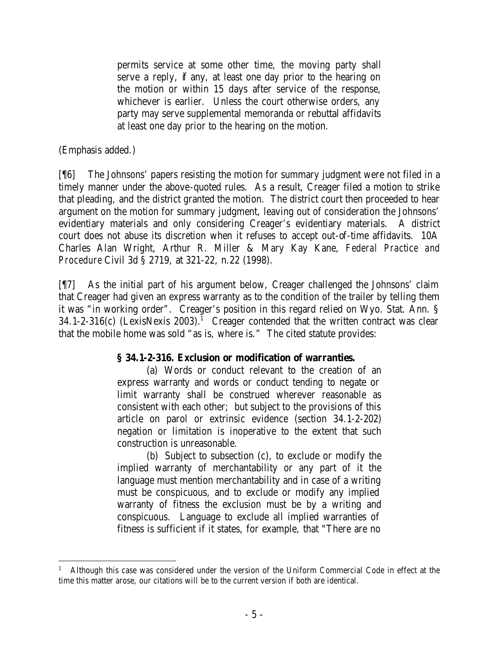permits service at some other time, the moving party shall serve a reply, if any, at least one day prior to the hearing on the motion or within 15 days after service of the response, whichever is earlier. Unless the court otherwise orders, any party may serve supplemental memoranda or rebuttal affidavits at least one day prior to the hearing on the motion.

(Emphasis added.)

[¶6] The Johnsons' papers resisting the motion for summary judgment were not filed in a timely manner under the above-quoted rules. As a result, Creager filed a motion to strike that pleading, and the district granted the motion. The district court then proceeded to hear argument on the motion for summary judgment, leaving out of consideration the Johnsons' evidentiary materials and only considering Creager's evidentiary materials. A district court does not abuse its discretion when it refuses to accept out-of-time affidavits. 10A Charles Alan Wright, Arthur R. Miller & Mary Kay Kane, *Federal Practice and Procedure* Civil 3d § 2719, at 321-22, n.22 (1998).

[¶7] As the initial part of his argument below, Creager challenged the Johnsons' claim that Creager had given an express warranty as to the condition of the trailer by telling them it was "in working order". Creager's position in this regard relied on Wyo. Stat. Ann. §  $34.1 - 2 - 316$  (c) (LexisNexis 2003).<sup>1</sup> Creager contended that the written contract was clear that the mobile home was sold "as is, where is." The cited statute provides:

## **§ 34.1-2-316. Exclusion or modification of warranties.**

(a) Words or conduct relevant to the creation of an express warranty and words or conduct tending to negate or limit warranty shall be construed wherever reasonable as consistent with each other; but subject to the provisions of this article on parol or extrinsic evidence (section 34.1-2-202) negation or limitation is inoperative to the extent that such construction is unreasonable.

(b) Subject to subsection (c), to exclude or modify the implied warranty of merchantability or any part of it the language must mention merchantability and in case of a writing must be conspicuous, and to exclude or modify any implied warranty of fitness the exclusion must be by a writing and conspicuous. Language to exclude all implied warranties of fitness is sufficient if it states, for example, that "There are no

 1 Although this case was considered under the version of the Uniform Commercial Code in effect at the time this matter arose, our citations will be to the current version if both are identical.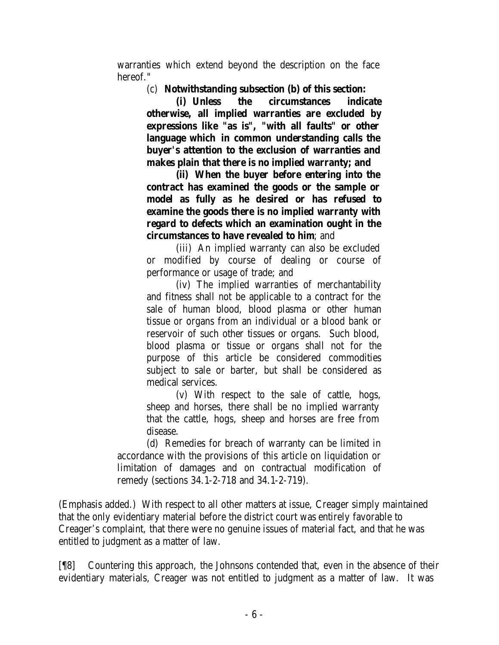warranties which extend beyond the description on the face hereof."

(c) **Notwithstanding subsection (b) of this section:**

**(i) Unless the circumstances indicate otherwise, all implied warranties are excluded by expressions like "as is", "with all faults" or other language which in common understanding calls the buyer's attention to the exclusion of warranties and makes plain that there is no implied warranty; and**

**(ii) When the buyer before entering into the contract has examined the goods or the sample or model as fully as he desired or has refused to examine the goods there is no implied warranty with regard to defects which an examination ought in the circumstances to have revealed to him**; and

(iii) An implied warranty can also be excluded or modified by course of dealing or course of performance or usage of trade; and

(iv) The implied warranties of merchantability and fitness shall not be applicable to a contract for the sale of human blood, blood plasma or other human tissue or organs from an individual or a blood bank or reservoir of such other tissues or organs. Such blood, blood plasma or tissue or organs shall not for the purpose of this article be considered commodities subject to sale or barter, but shall be considered as medical services.

(v) With respect to the sale of cattle, hogs, sheep and horses, there shall be no implied warranty that the cattle, hogs, sheep and horses are free from disease.

(d) Remedies for breach of warranty can be limited in accordance with the provisions of this article on liquidation or limitation of damages and on contractual modification of remedy (sections 34.1-2-718 and 34.1-2-719).

(Emphasis added.) With respect to all other matters at issue, Creager simply maintained that the only evidentiary material before the district court was entirely favorable to Creager's complaint, that there were no genuine issues of material fact, and that he was entitled to judgment as a matter of law.

[¶8] Countering this approach, the Johnsons contended that, even in the absence of their evidentiary materials, Creager was not entitled to judgment as a matter of law. It was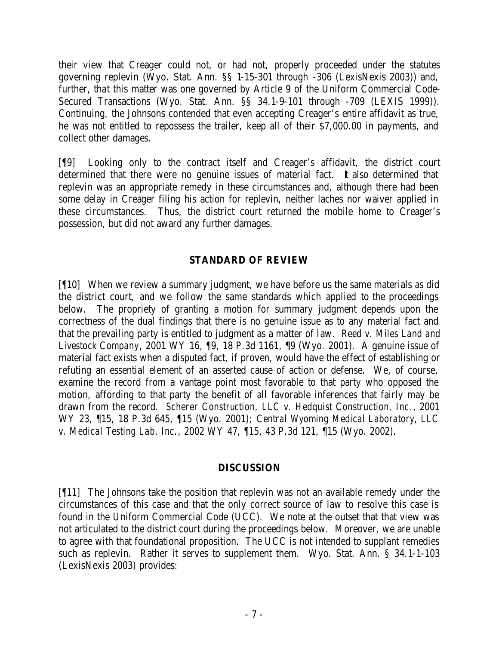their view that Creager could not, or had not, properly proceeded under the statutes governing replevin (Wyo. Stat. Ann. §§ 1-15-301 through -306 (LexisNexis 2003)) and, further, that this matter was one governed by Article 9 of the Uniform Commercial Code-Secured Transactions (Wyo. Stat. Ann. §§ 34.1-9-101 through -709 (LEXIS 1999)). Continuing, the Johnsons contended that even accepting Creager's entire affidavit as true, he was not entitled to repossess the trailer, keep all of their \$7,000.00 in payments, and collect other damages.

[¶9] Looking only to the contract itself and Creager's affidavit, the district court determined that there were no genuine issues of material fact. I also determined that replevin was an appropriate remedy in these circumstances and, although there had been some delay in Creager filing his action for replevin, neither laches nor waiver applied in these circumstances. Thus, the district court returned the mobile home to Creager's possession, but did not award any further damages.

## **STANDARD OF REVIEW**

[¶10] When we review a summary judgment, we have before us the same materials as did the district court, and we follow the same standards which applied to the proceedings below. The propriety of granting a motion for summary judgment depends upon the correctness of the dual findings that there is no genuine issue as to any material fact and that the prevailing party is entitled to judgment as a matter of law. *Reed v. Miles Land and Livestock Company*, 2001 WY 16, ¶9, 18 P.3d 1161, ¶9 (Wyo. 2001). A genuine issue of material fact exists when a disputed fact, if proven, would have the effect of establishing or refuting an essential element of an asserted cause of action or defense. We, of course, examine the record from a vantage point most favorable to that party who opposed the motion, affording to that party the benefit of all favorable inferences that fairly may be drawn from the record. *Scherer Construction, LLC v. Hedquist Construction, Inc.*, 2001 WY 23, ¶15, 18 P.3d 645, ¶15 (Wyo. 2001); *Central Wyoming Medical Laboratory, LLC v. Medical Testing Lab, Inc.*, 2002 WY 47, ¶15, 43 P.3d 121, ¶15 (Wyo. 2002).

## **DISCUSSION**

[¶11] The Johnsons take the position that replevin was not an available remedy under the circumstances of this case and that the only correct source of law to resolve this case is found in the Uniform Commercial Code (UCC). We note at the outset that that view was not articulated to the district court during the proceedings below. Moreover, we are unable to agree with that foundational proposition. The UCC is not intended to supplant remedies such as replevin. Rather it serves to supplement them. Wyo. Stat. Ann. § 34.1-1-103 (LexisNexis 2003) provides: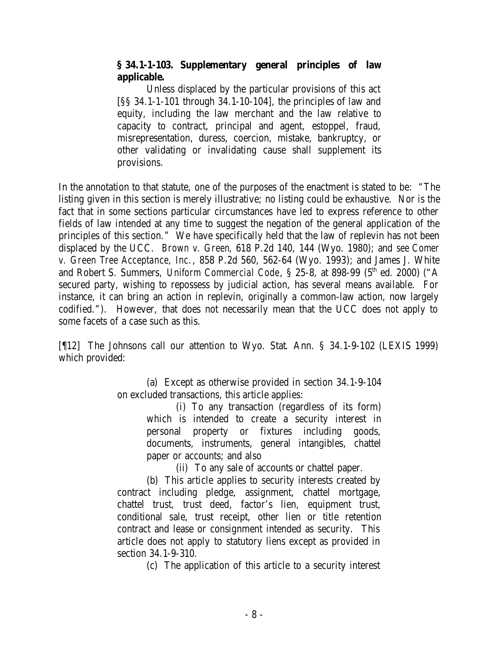## **§ 34.1-1-103. Supplementary general principles of law applicable.**

Unless displaced by the particular provisions of this act [§§ 34.1-1-101 through 34.1-10-104], the principles of law and equity, including the law merchant and the law relative to capacity to contract, principal and agent, estoppel, fraud, misrepresentation, duress, coercion, mistake, bankruptcy, or other validating or invalidating cause shall supplement its provisions.

In the annotation to that statute, one of the purposes of the enactment is stated to be: "The listing given in this section is merely illustrative; no listing could be exhaustive. Nor is the fact that in some sections particular circumstances have led to express reference to other fields of law intended at any time to suggest the negation of the general application of the principles of this section." We have specifically held that the law of replevin has not been displaced by the UCC. *Brown v. Green*, 618 P.2d 140, 144 (Wyo. 1980); and *see Comer v. Green Tree Acceptance, Inc.*, 858 P.2d 560, 562-64 (Wyo. 1993); and James J. White and Robert S. Summers, *Uniform Commercial Code*, § 25-8, at 898-99 (5<sup>th</sup> ed. 2000) ("A secured party, wishing to repossess by judicial action, has several means available. For instance, it can bring an action in replevin, originally a common-law action, now largely codified."). However, that does not necessarily mean that the UCC does not apply to some facets of a case such as this.

[¶12] The Johnsons call our attention to Wyo. Stat. Ann. § 34.1-9-102 (LEXIS 1999) which provided:

> (a) Except as otherwise provided in section 34.1-9-104 on excluded transactions, this article applies:

> > (i) To any transaction (regardless of its form) which is intended to create a security interest in personal property or fixtures including goods, documents, instruments, general intangibles, chattel paper or accounts; and also

(ii) To any sale of accounts or chattel paper.

(b) This article applies to security interests created by contract including pledge, assignment, chattel mortgage, chattel trust, trust deed, factor's lien, equipment trust, conditional sale, trust receipt, other lien or title retention contract and lease or consignment intended as security. This article does not apply to statutory liens except as provided in section 34.1-9-310.

(c) The application of this article to a security interest